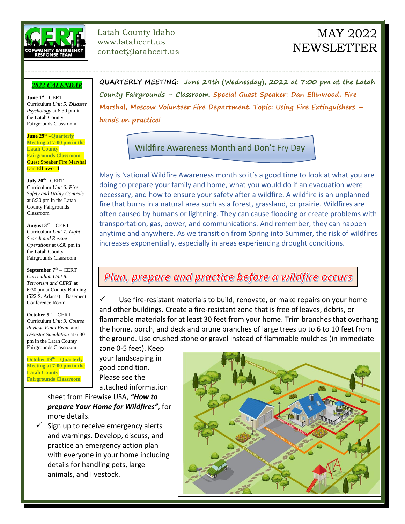

Latah County Idaho www.latahcert.us contact@latahcert.us

## MAY 2022 **NEWSLETTER**

## **2022 CALENDAR**

**June 1 st** – CERT Curriculum *Unit 5: Disaster Psychology* at 6:30 pm in the Latah County Fairgrounds Classroom

**June 29th** –**Quarterly Meeting at 7:00 pm in the Latah County Fairgrounds Classroom** – Guest Speaker Fire Marshal Dan Ellinwood

**July 20th –**CERT Curriculum *Unit 6: Fire Safety and Utility Controls* at 6:30 pm in the Latah County Fairgrounds Classroom

**August 3rd** – CERT Curriculum *Unit 7: Light Search and Rescue Operations* at 6:30 pm in the Latah County Fairgrounds Classroom

**September 7th** – CERT *Curriculum Unit 8: Terrorism and CERT* at 6:30 pm at County Building (522 S. Adams) – Basement Conference Room

**October 5th** – CERT Curriculum *Unit 9: Course Review, Final Exam* and *Disaster Simulation* at 6:30 pm in the Latah County Fairgrounds Classroom

**October 19th – Quarterly Meeting at 7:00 pm in the Latah County Fairgrounds Classroom**

**QUARTERLY MEETING**: **June 29th (Wednesday), 2022 at 7:00 pm at the Latah County Fairgrounds – Classroom. Special Guest Speaker: Dan Ellinwood, Fire Marshal, Moscow Volunteer Fire Department. Topic: Using Fire Extinguishers – hands on practice!**

Wildfire Awareness Month and Don't Fry Day

---------------------------------------------------------------------------------------------------------

May is National Wildfire Awareness month so it's a good time to look at what you are doing to prepare your family and home, what you would do if an evacuation were necessary, and how to ensure your safety after a wildfire. A wildfire is an unplanned fire that burns in a natural area such as a forest, grassland, or prairie. Wildfires are often caused by humans or lightning. They can cause flooding or create problems with transportation, gas, power, and communications. And remember, they can happen anytime and anywhere. As we transition from Spring into Summer, the risk of wildfires increases exponentially, especially in areas experiencing drought conditions.

## Plan, prepare and practice before a wildfire occurs

 $\checkmark$  Use fire-resistant materials to build, renovate, or make repairs on your home and other buildings. Create a fire-resistant zone that is free of leaves, debris, or flammable materials for at least 30 feet from your home. Trim branches that overhang the home, porch, and deck and prune branches of large trees up to 6 to 10 feet from the ground. Use crushed stone or gravel instead of flammable mulches (in immediate

zone 0-5 feet). Keep your landscaping in good condition. Please see the attached information

sheet from Firewise USA, *"How to prepare Your Home for Wildfires",* for more details.

 $\checkmark$  Sign up to receive emergency alerts and warnings. Develop, discuss, and practice an emergency action plan with everyone in your home including details for handling pets, large animals, and livestock.